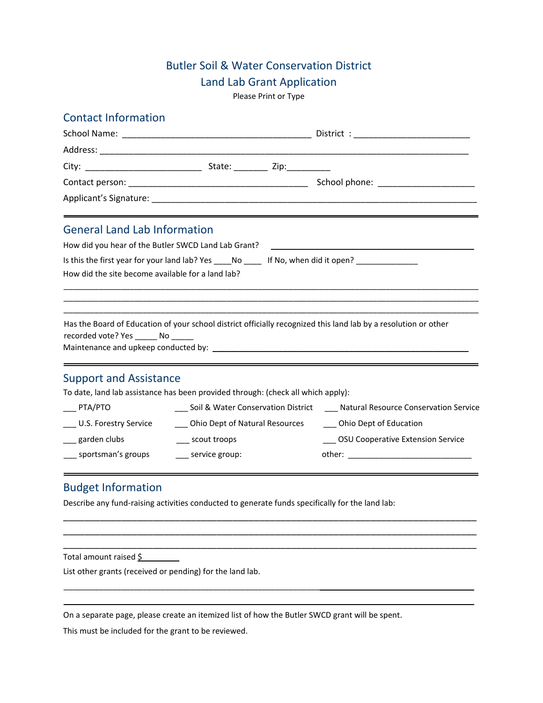## Butler Soil & Water Conservation District

### Land Lab Grant Application

Please Print or Type

### Contact Information

| <b>General Land Lab Information</b>                                                    |                                    |  |                                                                                                                                                                                                                                                                                                                                                   |  |  |  |
|----------------------------------------------------------------------------------------|------------------------------------|--|---------------------------------------------------------------------------------------------------------------------------------------------------------------------------------------------------------------------------------------------------------------------------------------------------------------------------------------------------|--|--|--|
| How did you hear of the Butler SWCD Land Lab Grant?                                    |                                    |  | <u> 1989 - John Harry Harry Harry Harry Harry Harry Harry Harry Harry Harry Harry Harry Harry Harry Harry Harry</u>                                                                                                                                                                                                                               |  |  |  |
| Is this the first year for your land lab? Yes _____ No ______ If No, when did it open? |                                    |  |                                                                                                                                                                                                                                                                                                                                                   |  |  |  |
| How did the site become available for a land lab?                                      |                                    |  |                                                                                                                                                                                                                                                                                                                                                   |  |  |  |
|                                                                                        |                                    |  |                                                                                                                                                                                                                                                                                                                                                   |  |  |  |
| recorded vote? Yes _______ No ______                                                   |                                    |  | Has the Board of Education of your school district officially recognized this land lab by a resolution or other<br>Maintenance and upkeep conducted by: Notified a state of the state of the state of the state of the state of the state of the state of the state of the state of the state of the state of the state of the state of the state |  |  |  |
| <b>Support and Assistance</b>                                                          |                                    |  |                                                                                                                                                                                                                                                                                                                                                   |  |  |  |
| To date, land lab assistance has been provided through: (check all which apply):       |                                    |  |                                                                                                                                                                                                                                                                                                                                                   |  |  |  |
| $\rule{1em}{0.15mm}$ PTA/PTO                                                           |                                    |  | ___ Soil & Water Conservation District ____ Natural Resource Conservation Service                                                                                                                                                                                                                                                                 |  |  |  |
| U.S. Forestry Service                                                                  | ___ Ohio Dept of Natural Resources |  | ___ Ohio Dept of Education                                                                                                                                                                                                                                                                                                                        |  |  |  |
| __ garden clubs                                                                        | ____ scout troops                  |  | __ OSU Cooperative Extension Service                                                                                                                                                                                                                                                                                                              |  |  |  |
| ___ sportsman's groups                                                                 | ____ service group:                |  |                                                                                                                                                                                                                                                                                                                                                   |  |  |  |
|                                                                                        |                                    |  |                                                                                                                                                                                                                                                                                                                                                   |  |  |  |

## Budget Information

Describe any fund-raising activities conducted to generate funds specifically for the land lab:

\_\_\_\_\_\_\_\_\_\_\_\_\_\_\_\_\_\_\_\_\_\_\_\_\_\_\_\_\_\_\_\_\_\_\_\_\_\_\_\_\_\_\_\_\_\_\_\_\_\_\_\_\_\_\_\_\_\_\_\_\_\_\_\_\_\_\_\_\_\_\_\_\_\_\_\_\_\_ \_\_\_\_\_\_\_\_\_\_\_\_\_\_\_\_\_\_\_\_\_\_\_\_\_\_\_\_\_\_\_\_\_\_\_\_\_\_\_\_\_\_\_\_\_\_\_\_\_\_\_\_\_\_\_\_\_\_\_\_\_\_\_\_\_\_\_\_\_\_\_\_\_\_\_\_\_\_ \_\_\_\_\_\_\_\_\_\_\_\_\_\_\_\_\_\_\_\_\_\_\_\_\_\_\_\_\_\_\_\_\_\_\_\_\_\_\_\_\_\_\_\_\_\_\_\_\_\_\_\_\_\_\_\_\_\_\_\_\_\_\_\_\_\_\_\_\_\_\_\_\_\_\_\_\_\_

 $\_$  ,  $\_$  ,  $\_$  ,  $\_$  ,  $\_$  ,  $\_$  ,  $\_$  ,  $\_$  ,  $\_$  ,  $\_$  ,  $\_$  ,  $\_$  ,  $\_$  ,  $\_$  ,  $\_$  ,  $\_$  ,  $\_$  ,  $\_$  ,  $\_$  ,  $\_$  ,  $\_$  ,  $\_$  ,  $\_$  ,  $\_$  ,  $\_$  ,  $\_$  ,  $\_$  ,  $\_$  ,  $\_$  ,  $\_$  ,  $\_$  ,  $\_$  ,  $\_$  ,  $\_$  ,  $\_$  ,  $\_$  ,  $\_$  ,  $\mathcal{L}_\mathcal{L} = \{ \mathcal{L}_\mathcal{L} = \{ \mathcal{L}_\mathcal{L} = \{ \mathcal{L}_\mathcal{L} = \{ \mathcal{L}_\mathcal{L} = \{ \mathcal{L}_\mathcal{L} = \{ \mathcal{L}_\mathcal{L} = \{ \mathcal{L}_\mathcal{L} = \{ \mathcal{L}_\mathcal{L} = \{ \mathcal{L}_\mathcal{L} = \{ \mathcal{L}_\mathcal{L} = \{ \mathcal{L}_\mathcal{L} = \{ \mathcal{L}_\mathcal{L} = \{ \mathcal{L}_\mathcal{L} = \{ \mathcal{L}_\mathcal{$ 

Total amount raised  $$$ 

List other grants (received or pending) for the land lab.

On a separate page, please create an itemized list of how the Butler SWCD grant will be spent.

This must be included for the grant to be reviewed.